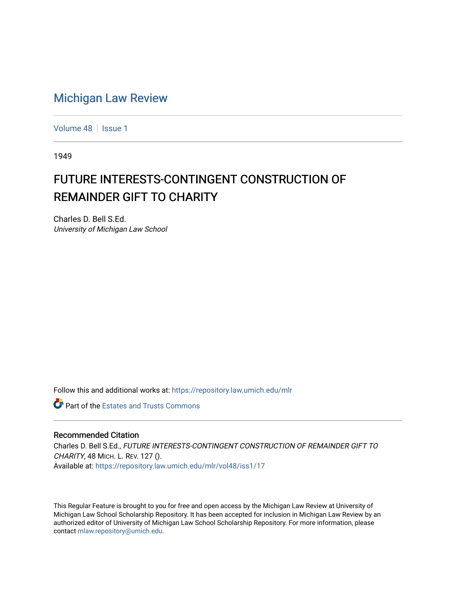## [Michigan Law Review](https://repository.law.umich.edu/mlr)

[Volume 48](https://repository.law.umich.edu/mlr/vol48) | [Issue 1](https://repository.law.umich.edu/mlr/vol48/iss1)

1949

## FUTURE INTERESTS-CONTINGENT CONSTRUCTION OF REMAINDER GIFT TO CHARITY

Charles D. Bell S.Ed. University of Michigan Law School

Follow this and additional works at: [https://repository.law.umich.edu/mlr](https://repository.law.umich.edu/mlr?utm_source=repository.law.umich.edu%2Fmlr%2Fvol48%2Fiss1%2F17&utm_medium=PDF&utm_campaign=PDFCoverPages) 

**C** Part of the Estates and Trusts Commons

## Recommended Citation

Charles D. Bell S.Ed., FUTURE INTERESTS-CONTINGENT CONSTRUCTION OF REMAINDER GIFT TO CHARITY, 48 MICH. L. REV. 127 (). Available at: [https://repository.law.umich.edu/mlr/vol48/iss1/17](https://repository.law.umich.edu/mlr/vol48/iss1/17?utm_source=repository.law.umich.edu%2Fmlr%2Fvol48%2Fiss1%2F17&utm_medium=PDF&utm_campaign=PDFCoverPages) 

This Regular Feature is brought to you for free and open access by the Michigan Law Review at University of Michigan Law School Scholarship Repository. It has been accepted for inclusion in Michigan Law Review by an authorized editor of University of Michigan Law School Scholarship Repository. For more information, please contact [mlaw.repository@umich.edu](mailto:mlaw.repository@umich.edu).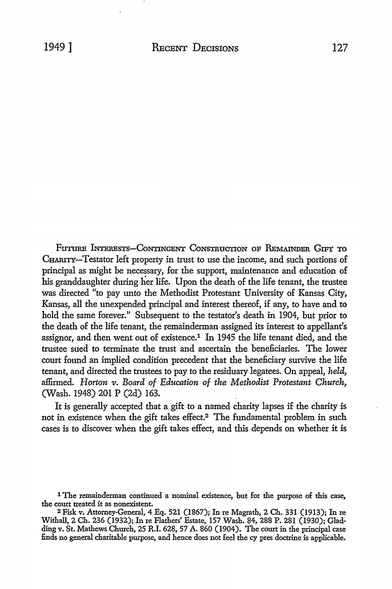Future Interests-Contingent Construction of Remainder Gift to CHARITY-Testator left property in trust to use the income, and such portions of principal as might be necessary, for the support, maintenance and education of his granddaughter during her life. Upon the death of the life tenant, the trustee was directed "to pay unto the Methodist Protestant University of Kansas City, Kansas, all the unexpended principal and interest thereof, if any, to have and to hold the same forever.'' Subsequent to the testator's death in 1904, but prior to the death of the life tenant, the remainderman assigned its interest to appellant's assignor, and then went out of existence.1 In 1945 the life tenant died, and the trustee sued to terminate the trust and ascertain the beneficiaries. The lower court found an implied condition precedent that the beneficiary survive the life tenant, and directed the trustees to pay to the residuary legatees. On appeal, *held,*  affirmed. *Horton v. Board of Education of the Methodist Protestant Church,*  (Wash. 1948) 201 P (2d) 163.

It is generally accepted that a gift to a named charity lapses if the charity is not in existence when the gift takes elfect.2 The fundamental problem in such cases is to discover when the gift takes effect, and this depends on whether it is

<sup>1</sup> The remainderman continued a nominal existence, but for the purpose of this case, the court treated it as nonexistent.

<sup>2</sup>Fisk v. Attorney-General, 4 Eq. 521 (1867); In re Magrath, 2 Ch. 331 (1913); In re Withall, 2 Ch. 236 (1932); In re Flathers' Estate, 157 Wash. 84, 288 P. 281 (1930); Gladding v. St. Mathews Church, 25 R.I. 628, 57 A. 860 (1904). The court in the principal case finds no general charitable purpose, and hence does not feel the cy pres doctrine is applicable.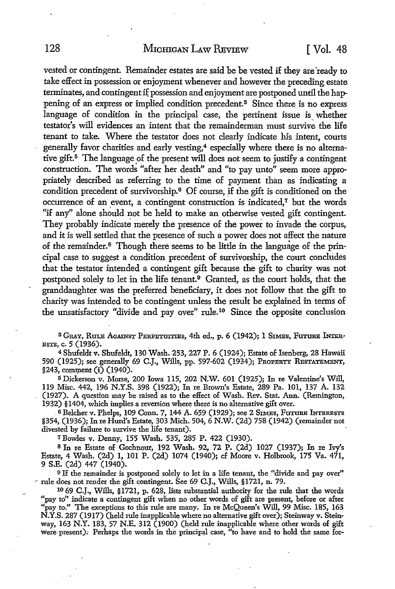vested or contingent. Remainder estates are said be be vested if they are ready to take effect in possession or enjoyment whenever and however the preceding estate terminates, and contingent if possession and enjoyment are postponed until the happening of an express or implied condition precedent.<sup>3</sup> Since there is no express language of condition in the principal case, the pertinent issue is whether testator's will evidences an intent that the remainderman must survive the life tenant to take. Where the testator does not clearly indicate his intent, courts generally favor charities and early vesting,<sup>4</sup> especially where there is no alternative gift.<sup>5</sup> The language of the present will does not seem to justify a contingent construction. The words "after her death" and "to pay unto" seem more appropriately described as referring to the time of payment than as indicating a condition precedent of survivorship.<sup>6</sup> Of course, if the gift is conditioned on the occurrence of an event, a contingent construction is indicated,<sup>7</sup> but the words "if any" alone should not be held to make an otherwise vested gift contingent. They probably indicate merely the presence of the power to invade the corpus, and it is well settled that the presence of such a power does not affect the nature of the remainder. 8 Though there seems to be little in the language of the principal case to suggest a condition precedent of survivorship, the court concludes that the testator intended a contingent gift because the gift to charity was not postponed solely to let in the life tenant.<sup>9</sup> Granted, as the court holds, that the granddaughter was the preferred beneficiary, it does not follow that the gift to charity was intended to be contingent unless the result be explained in terms of the unsatisfactory "divide and pay over" rule.10 Since the opposite conclusion

<sup>3</sup> GRAY, RULE AGAINST PERPETUITIES, 4th ed., p. 6 (1942); 1 SIMES, FUTURE INTER-EsTs, c. 5 (1936).

<sup>4</sup>Shufeldt v. Shufeldt, 130 Wash. 253, 227 P. 6 (1924); Estate of Isenberg, 28 Hawaii 590 (1925); see generally 69 C.J., Wills, pp. 597-602 (1934); PROPERTY RESTATEMENT, §243, comment (i) (1940).

<sup>5</sup>Dickerson v. Morse, 200 Iowa 115, 202 N.W. 601 (1925); In re Valentine's Will, 119 Misc. 442, 196 N.Y.S. 398 (1922); In re Brown's Estate, 289 Pa. 101, 137 A. 132 (1927). A question may be raised as to the effect of Wash. Rev. Stat. Ann. (Remington, 1932) §1404, which implies a reversion where there is no alternative gift over •

<sup>6</sup> Belcher v. Phelps, 109 Conn. 7, 144 A. 659 (1929); see 2 SIMES, FUTURE INTERESTS §354, (1936); In re Hurd's Estate, 303 Mich. 504, 6 N.W. (2d) 758 (1942) (remainder not divested by failure to survive the life tenant).

<sup>7</sup>Bowles v. Denny, 155 Wash. 535, 285 P. 422 (1930).

8 In re Estate of Gochnour, 192 Wash. 92, 72 P. (2d) 1027 (1937); In re Ivy's Estate, 4 Wash. (2d) 1, 101 P. (2d) 1074 (1940); cf Moore v. Holbrook, 175 Va. 471, 9 S.E. (2d) 447 (1940).

<sup>9</sup>If the remainder is postponed solely to let in a life tenant, the "divide and pay over" <sup>~</sup>rule does not render the gift contingent. See 69 C.J., Wills, §1721, n. 79.

1069 C.J., Wills, §1721, p. 628, lists substantial authority for the rule that the words "pay to" indicate a contingent gift when no other words of gift are present, before or after "pay to." The exceptions to this rule are many. In re McQueen's Will, 99 Misc. 185, 163 N.Y.S. 287 (1917) (held rule inapplicable where no alternative gift over); Steinway v. Steinway, 163 N.Y. 183, 57 N.E. 312 (1900) (held rule inapplicable where other words of gift were present). Perhaps the words in the principal case, "to have and to hold the same for